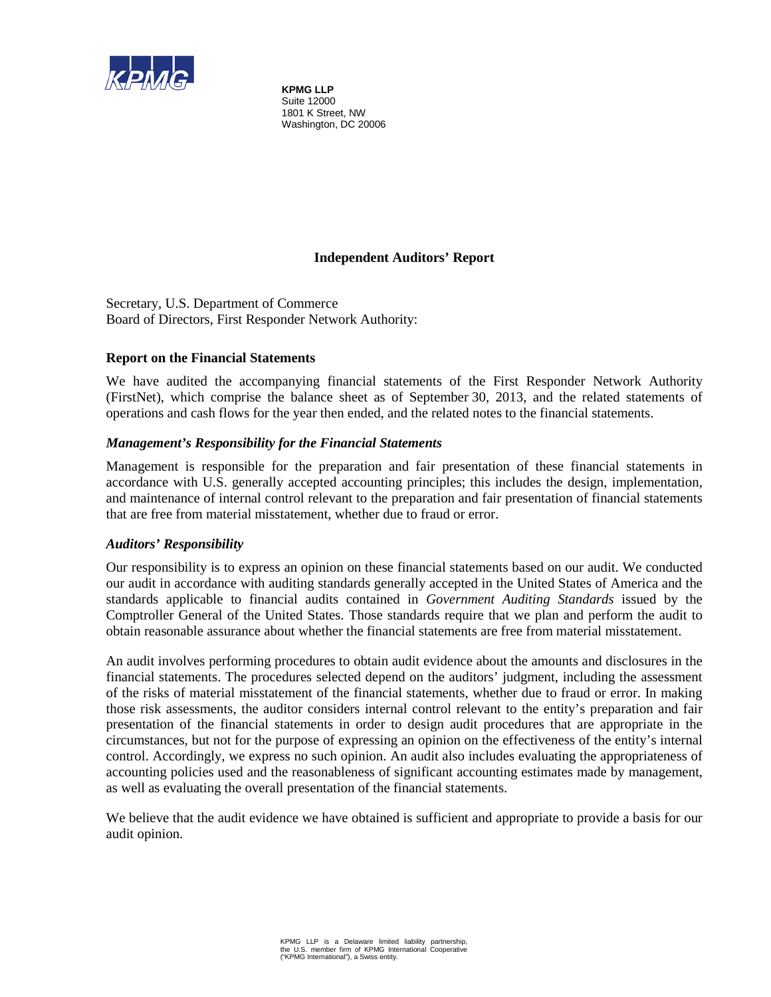

**KPMG LLP** Suite 12000 1801 K Street, NW Washington, DC 20006

# **Independent Auditors' Report**

Secretary, U.S. Department of Commerce Board of Directors, First Responder Network Authority:

# **Report on the Financial Statements**

We have audited the accompanying financial statements of the First Responder Network Authority (FirstNet), which comprise the balance sheet as of September 30, 2013, and the related statements of operations and cash flows for the year then ended, and the related notes to the financial statements.

#### *Management's Responsibility for the Financial Statements*

Management is responsible for the preparation and fair presentation of these financial statements in accordance with U.S. generally accepted accounting principles; this includes the design, implementation, and maintenance of internal control relevant to the preparation and fair presentation of financial statements that are free from material misstatement, whether due to fraud or error.

#### *Auditors' Responsibility*

Our responsibility is to express an opinion on these financial statements based on our audit. We conducted our audit in accordance with auditing standards generally accepted in the United States of America and the standards applicable to financial audits contained in *Government Auditing Standards* issued by the Comptroller General of the United States. Those standards require that we plan and perform the audit to obtain reasonable assurance about whether the financial statements are free from material misstatement.

An audit involves performing procedures to obtain audit evidence about the amounts and disclosures in the financial statements. The procedures selected depend on the auditors' judgment, including the assessment of the risks of material misstatement of the financial statements, whether due to fraud or error. In making those risk assessments, the auditor considers internal control relevant to the entity's preparation and fair presentation of the financial statements in order to design audit procedures that are appropriate in the circumstances, but not for the purpose of expressing an opinion on the effectiveness of the entity's internal control. Accordingly, we express no such opinion. An audit also includes evaluating the appropriateness of accounting policies used and the reasonableness of significant accounting estimates made by management, as well as evaluating the overall presentation of the financial statements.

We believe that the audit evidence we have obtained is sufficient and appropriate to provide a basis for our audit opinion.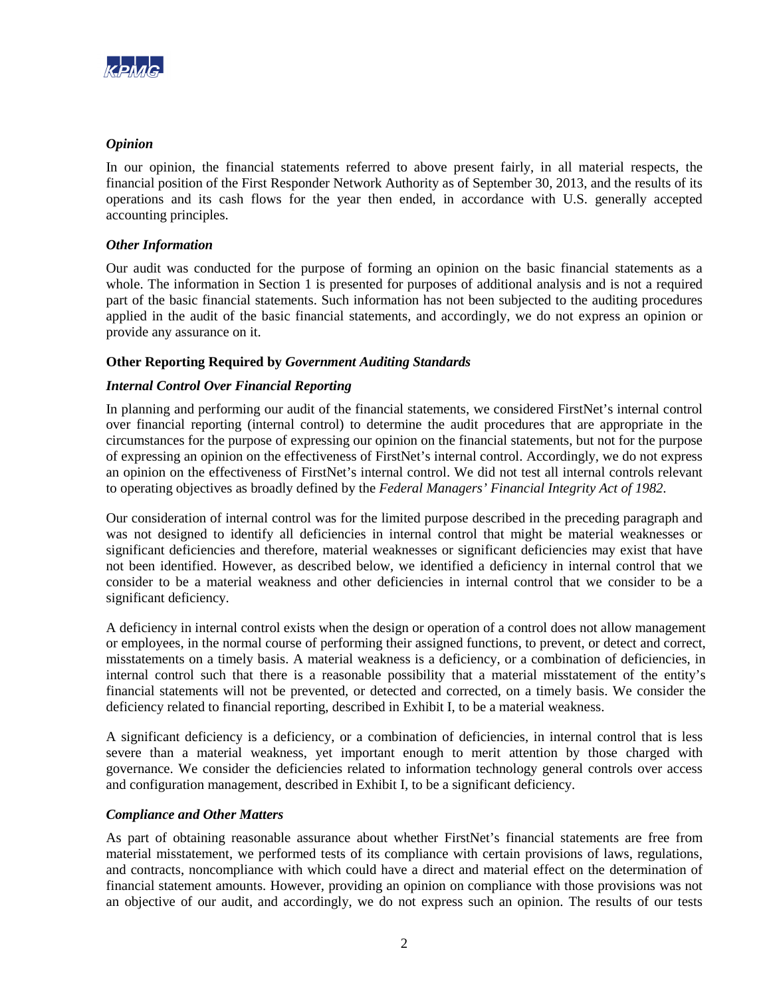

# *Opinion*

In our opinion, the financial statements referred to above present fairly, in all material respects, the financial position of the First Responder Network Authority as of September 30, 2013, and the results of its operations and its cash flows for the year then ended, in accordance with U.S. generally accepted accounting principles.

# *Other Information*

Our audit was conducted for the purpose of forming an opinion on the basic financial statements as a whole. The information in Section 1 is presented for purposes of additional analysis and is not a required part of the basic financial statements. Such information has not been subjected to the auditing procedures applied in the audit of the basic financial statements, and accordingly, we do not express an opinion or provide any assurance on it.

# **Other Reporting Required by** *Government Auditing Standards*

# *Internal Control Over Financial Reporting*

In planning and performing our audit of the financial statements, we considered FirstNet's internal control over financial reporting (internal control) to determine the audit procedures that are appropriate in the circumstances for the purpose of expressing our opinion on the financial statements, but not for the purpose of expressing an opinion on the effectiveness of FirstNet's internal control. Accordingly, we do not express an opinion on the effectiveness of FirstNet's internal control. We did not test all internal controls relevant to operating objectives as broadly defined by the *Federal Managers' Financial Integrity Act of 1982*.

Our consideration of internal control was for the limited purpose described in the preceding paragraph and was not designed to identify all deficiencies in internal control that might be material weaknesses or significant deficiencies and therefore, material weaknesses or significant deficiencies may exist that have not been identified. However, as described below, we identified a deficiency in internal control that we consider to be a material weakness and other deficiencies in internal control that we consider to be a significant deficiency.

A deficiency in internal control exists when the design or operation of a control does not allow management or employees, in the normal course of performing their assigned functions, to prevent, or detect and correct, misstatements on a timely basis. A material weakness is a deficiency, or a combination of deficiencies, in internal control such that there is a reasonable possibility that a material misstatement of the entity's financial statements will not be prevented, or detected and corrected, on a timely basis. We consider the deficiency related to financial reporting, described in Exhibit I, to be a material weakness.

A significant deficiency is a deficiency, or a combination of deficiencies, in internal control that is less severe than a material weakness, yet important enough to merit attention by those charged with governance. We consider the deficiencies related to information technology general controls over access and configuration management, described in Exhibit I, to be a significant deficiency.

# *Compliance and Other Matters*

As part of obtaining reasonable assurance about whether FirstNet's financial statements are free from material misstatement, we performed tests of its compliance with certain provisions of laws, regulations, and contracts, noncompliance with which could have a direct and material effect on the determination of financial statement amounts. However, providing an opinion on compliance with those provisions was not an objective of our audit, and accordingly, we do not express such an opinion. The results of our tests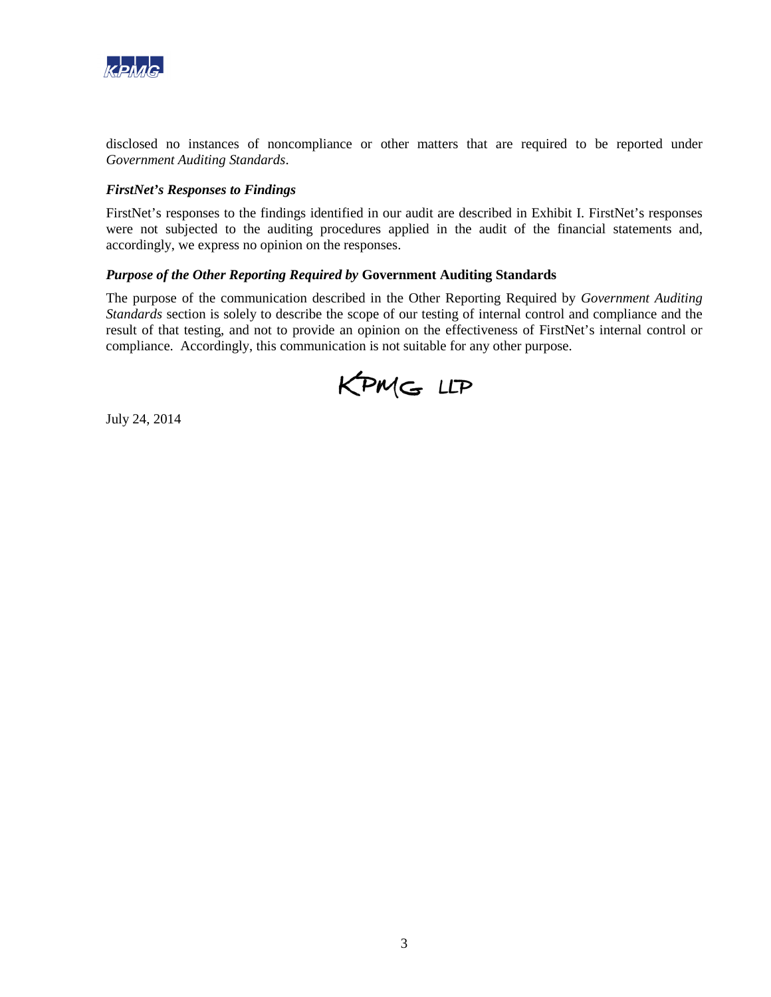

disclosed no instances of noncompliance or other matters that are required to be reported under *Government Auditing Standards*.

### *FirstNet's Responses to Findings*

FirstNet's responses to the findings identified in our audit are described in Exhibit I. FirstNet's responses were not subjected to the auditing procedures applied in the audit of the financial statements and, accordingly, we express no opinion on the responses.

#### *Purpose of the Other Reporting Required by* **Government Auditing Standards**

The purpose of the communication described in the Other Reporting Required by *Government Auditing Standards* section is solely to describe the scope of our testing of internal control and compliance and the result of that testing, and not to provide an opinion on the effectiveness of FirstNet's internal control or compliance. Accordingly, this communication is not suitable for any other purpose.



July 24, 2014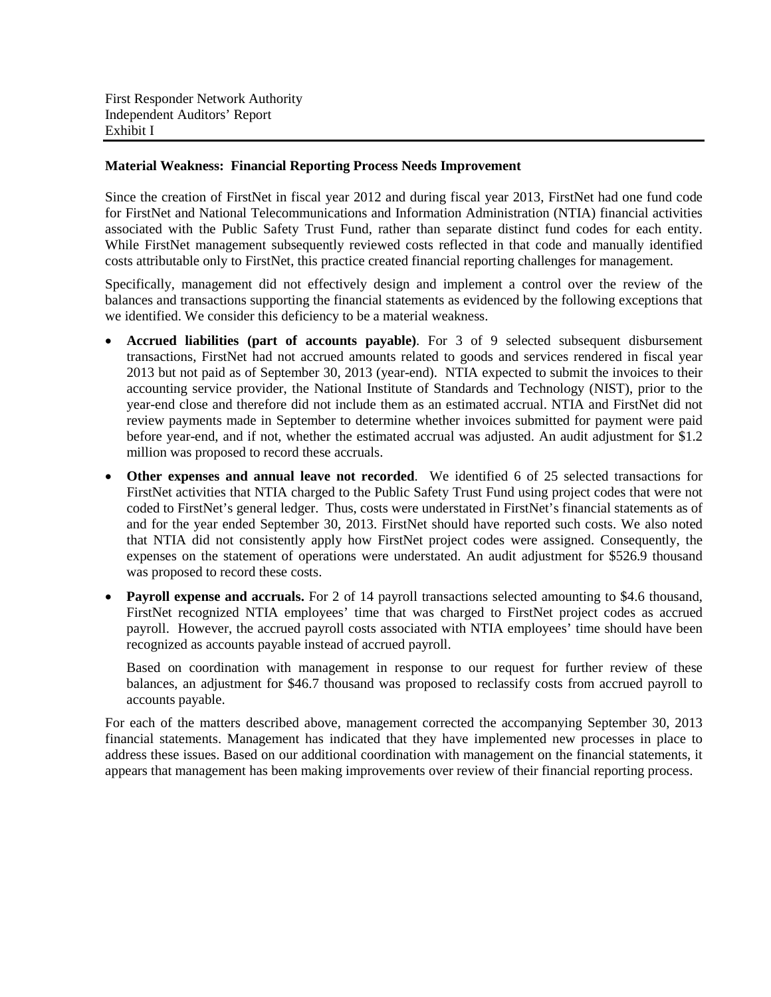#### **Material Weakness: Financial Reporting Process Needs Improvement**

Since the creation of FirstNet in fiscal year 2012 and during fiscal year 2013, FirstNet had one fund code for FirstNet and National Telecommunications and Information Administration (NTIA) financial activities associated with the Public Safety Trust Fund, rather than separate distinct fund codes for each entity. While FirstNet management subsequently reviewed costs reflected in that code and manually identified costs attributable only to FirstNet, this practice created financial reporting challenges for management.

Specifically, management did not effectively design and implement a control over the review of the balances and transactions supporting the financial statements as evidenced by the following exceptions that we identified. We consider this deficiency to be a material weakness.

- **Accrued liabilities (part of accounts payable)**. For 3 of 9 selected subsequent disbursement transactions, FirstNet had not accrued amounts related to goods and services rendered in fiscal year 2013 but not paid as of September 30, 2013 (year-end). NTIA expected to submit the invoices to their accounting service provider, the National Institute of Standards and Technology (NIST), prior to the year-end close and therefore did not include them as an estimated accrual. NTIA and FirstNet did not review payments made in September to determine whether invoices submitted for payment were paid before year-end, and if not, whether the estimated accrual was adjusted. An audit adjustment for \$1.2 million was proposed to record these accruals.
- **Other expenses and annual leave not recorded**. We identified 6 of 25 selected transactions for FirstNet activities that NTIA charged to the Public Safety Trust Fund using project codes that were not coded to FirstNet's general ledger. Thus, costs were understated in FirstNet's financial statements as of and for the year ended September 30, 2013. FirstNet should have reported such costs. We also noted that NTIA did not consistently apply how FirstNet project codes were assigned. Consequently, the expenses on the statement of operations were understated. An audit adjustment for \$526.9 thousand was proposed to record these costs.
- **Payroll expense and accruals.** For 2 of 14 payroll transactions selected amounting to \$4.6 thousand, FirstNet recognized NTIA employees' time that was charged to FirstNet project codes as accrued payroll. However, the accrued payroll costs associated with NTIA employees' time should have been recognized as accounts payable instead of accrued payroll.

Based on coordination with management in response to our request for further review of these balances, an adjustment for \$46.7 thousand was proposed to reclassify costs from accrued payroll to accounts payable.

For each of the matters described above, management corrected the accompanying September 30, 2013 financial statements. Management has indicated that they have implemented new processes in place to address these issues. Based on our additional coordination with management on the financial statements, it appears that management has been making improvements over review of their financial reporting process.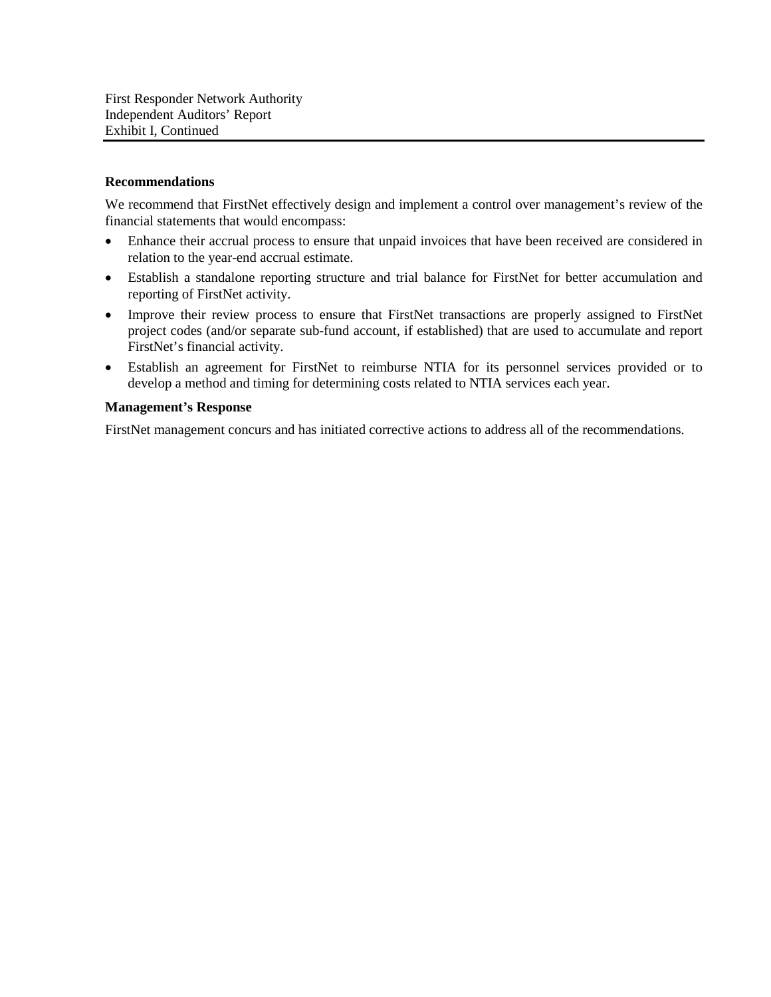#### **Recommendations**

We recommend that FirstNet effectively design and implement a control over management's review of the financial statements that would encompass:

- Enhance their accrual process to ensure that unpaid invoices that have been received are considered in relation to the year-end accrual estimate.
- Establish a standalone reporting structure and trial balance for FirstNet for better accumulation and reporting of FirstNet activity.
- Improve their review process to ensure that FirstNet transactions are properly assigned to FirstNet project codes (and/or separate sub-fund account, if established) that are used to accumulate and report FirstNet's financial activity.
- Establish an agreement for FirstNet to reimburse NTIA for its personnel services provided or to develop a method and timing for determining costs related to NTIA services each year.

#### **Management's Response**

FirstNet management concurs and has initiated corrective actions to address all of the recommendations.